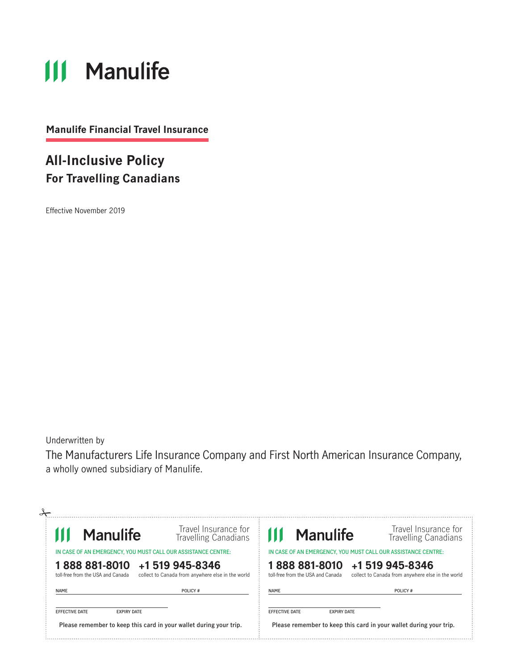# **111 Manulife**

**Manulife Financial Travel Insurance**

### **All-Inclusive Policy For Travelling Canadians**

Effective November 2019

Underwritten by

The Manufacturers Life Insurance Company and First North American Insurance Company, a wholly owned subsidiary of Manulife.

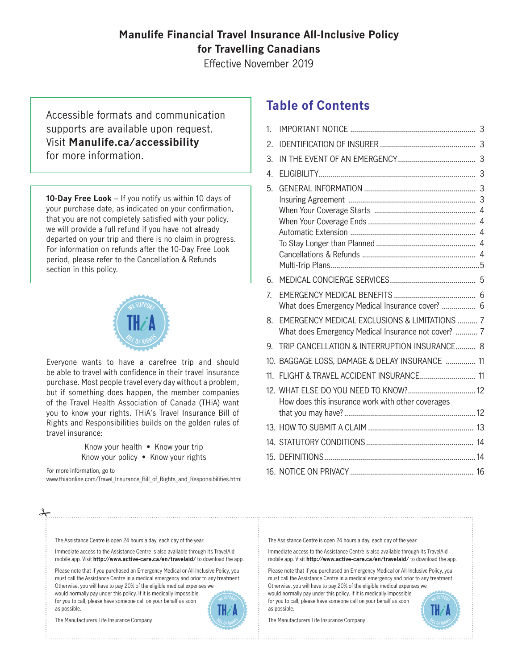### **Manulife Financial Travel Insurance All-Inclusive Policy for Travelling Canadians**

Effective November 2019

Accessible formats and communication supports are available upon request. Visit **Manulife.ca/accessibility** for more information.

**10-Day Free Look** – If you notify us within 10 days of your purchase date, as indicated on your confirmation, that you are not completely satisfied with your policy, we will provide a full refund if you have not already departed on your trip and there is no claim in progress. For information on refunds after the 10-Day Free Look period, please refer to the Cancellation & Refunds section in this policy.



Everyone wants to have a carefree trip and should be able to travel with confidence in their travel insurance purchase. Most people travel every day without a problem, but if something does happen, the member companies of the Travel Health Association of Canada (THiA) want you to know your rights. THiA's Travel Insurance Bill of Rights and Responsibilities builds on the golden rules of travel insurance:

> Know your health • Know your trip Know your policy • Know your rights

For more information, go to

www.thiaonline.com/Travel\_Insurance\_Bill\_of\_Rights\_and\_Responsibilities.html

Immediate access to the Assistance Centre is also available through its TravelAid mobile app. Visit **http://www.active-care.ca/en/travelaid/** to download the app. Please note that if you purchased an Emergency Medical or All-Inclusive Policy, you must call the Assistance Centre in a medical emergency and prior to any treatment. Otherwise, you will have to pay 20% of the eligible medical expenses we would normally pay under this policy. If it is medically impossible for you to call, please have someone call on your behalf as soon

The Assistance Centre is open 24 hours a day, each day of the year.

### **Table of Contents**

| 1.               |                                                                                                                 |  |
|------------------|-----------------------------------------------------------------------------------------------------------------|--|
| 2.               |                                                                                                                 |  |
| 3.               |                                                                                                                 |  |
| $\overline{4}$ . |                                                                                                                 |  |
| 5.               |                                                                                                                 |  |
|                  |                                                                                                                 |  |
|                  |                                                                                                                 |  |
| 6.               |                                                                                                                 |  |
| 7.               | What does Emergency Medical Insurance cover?  6                                                                 |  |
| 8.               | <b>EMERGENCY MEDICAL EXCLUSIONS &amp; LIMITATIONS  7</b><br>What does Emergency Medical Insurance not cover?  7 |  |
| 9                | TRIP CANCELLATION & INTERRUPTION INSURANCE 8                                                                    |  |
|                  | 10. BAGGAGE LOSS, DAMAGE & DELAY INSURANCE  11                                                                  |  |
| 11               | FLIGHT & TRAVEL ACCIDENT INSURANCE 11                                                                           |  |
|                  | How does this insurance work with other coverages                                                               |  |
|                  |                                                                                                                 |  |
|                  |                                                                                                                 |  |
|                  |                                                                                                                 |  |
|                  |                                                                                                                 |  |

The Assistance Centre is open 24 hours a day, each day of the year.

Immediate access to the Assistance Centre is also available through its TravelAid mobile app. Visit **http://www.active-care.ca/en/travelaid/** to download the app.

Please note that if you purchased an Emergency Medical or All-Inclusive Policy, you must call the Assistance Centre in a medical emergency and prior to any treatment. Otherwise, you will have to pay 20% of the eligible medical expenses we would normally pay under this policy. If it is medically impossible for you to call, please have someone call on your behalf as soon as possible. WE SUPPORT

The Manufacturers Life Insurance Company



The Manufacturers Life Insurance Company

as possible.

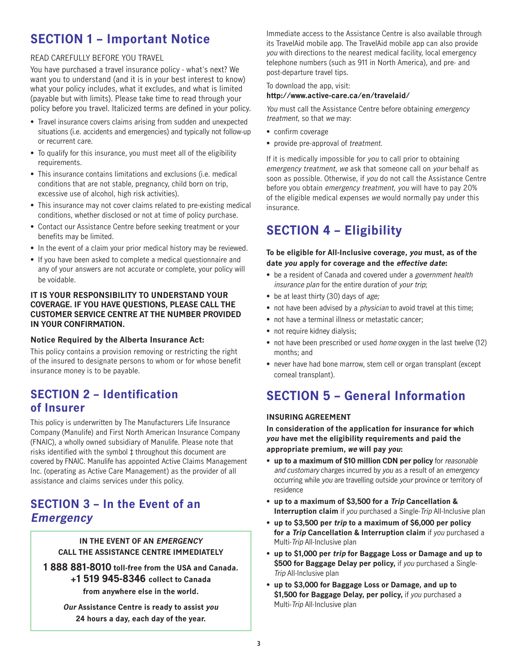### **SECTION 1 – Important Notice**

### READ CAREFULLY BEFORE YOU TRAVEL

You have purchased a travel insurance policy - what's next? We want you to understand (and it is in your best interest to know) what your policy includes, what it excludes, and what is limited (payable but with limits). Please take time to read through your policy before you travel. Italicized terms are defined in your policy.

- Travel insurance covers claims arising from sudden and unexpected situations (i.e. accidents and emergencies) and typically not follow-up or recurrent care.
- To qualify for this insurance, you must meet all of the eligibility requirements.
- This insurance contains limitations and exclusions (i.e. medical conditions that are not stable, pregnancy, child born on trip, excessive use of alcohol, high risk activities).
- This insurance may not cover claims related to pre-existing medical conditions, whether disclosed or not at time of policy purchase.
- Contact our Assistance Centre before seeking treatment or your benefits may be limited.
- In the event of a claim your prior medical history may be reviewed.
- If you have been asked to complete a medical questionnaire and any of your answers are not accurate or complete, your policy will be voidable.

### **IT IS YOUR RESPONSIBILITY TO UNDERSTAND YOUR COVERAGE. IF YOU HAVE QUESTIONS, PLEASE CALL THE CUSTOMER SERVICE CENTRE AT THE NUMBER PROVIDED IN YOUR CONFIRMATION.**

### **Notice Required by the Alberta Insurance Act:**

This policy contains a provision removing or restricting the right of the insured to designate persons to whom or for whose benefit insurance money is to be payable.

### **SECTION 2 – Identification of Insurer**

This policy is underwritten by The Manufacturers Life Insurance Company (Manulife) and First North American Insurance Company (FNAIC), a wholly owned subsidiary of Manulife. Please note that risks identified with the symbol ‡ throughout this document are covered by FNAIC. Manulife has appointed Active Claims Management Inc. (operating as Active Care Management) as the provider of all assistance and claims services under this policy.

### **SECTION 3 – In the Event of an Emergency**

**IN THE EVENT OF AN EMERGENCY CALL THE ASSISTANCE CENTRE IMMEDIATELY**

**1 888 881-8010 toll-free from the USA and Canada. +1 519 945-8346 collect to Canada from anywhere else in the world.**

> **Our Assistance Centre is ready to assist you 24 hours a day, each day of the year.**

Immediate access to the Assistance Centre is also available through its TravelAid mobile app. The TravelAid mobile app can also provide you with directions to the nearest medical facility, local emergency telephone numbers (such as 911 in North America), and pre- and post-departure travel tips.

#### To download the app, visit: **http://www.active-care.ca/en/travelaid/**

You must call the Assistance Centre before obtaining emergency treatment, so that we may:

- confirm coverage
- provide pre-approval of treatment.

If it is medically impossible for you to call prior to obtaining emergency treatment, we ask that someone call on your behalf as soon as possible. Otherwise, if you do not call the Assistance Centre before you obtain emergency treatment, you will have to pay 20% of the eligible medical expenses we would normally pay under this insurance.

### **SECTION 4 – Eligibility**

### **To be eligible for All-Inclusive coverage, you must, as of the date you apply for coverage and the effective date:**

- be a resident of Canada and covered under a government health insurance plan for the entire duration of your trip;
- be at least thirty (30) days of age;
- not have been advised by a *physician* to avoid travel at this time;
- not have a terminal illness or metastatic cancer;
- not require kidney dialysis;
- not have been prescribed or used home oxygen in the last twelve (12) months; and
- never have had bone marrow, stem cell or organ transplant (except corneal transplant).

### **SECTION 5 – General Information**

### **INSURING AGREEMENT**

**In consideration of the application for insurance for which you have met the eligibility requirements and paid the appropriate premium, we will pay you:**

- **up to a maximum of \$10 million CDN per policy** for reasonable and customary charges incurred by you as a result of an emergency occurring while you are travelling outside your province or territory of residence
- **up to a maximum of \$3,500 for a Trip Cancellation & Interruption claim** if you purchased a Single-Trip All-Inclusive plan
- **up to \$3,500 per trip to a maximum of \$6,000 per policy for a Trip Cancellation & Interruption claim** if you purchased a Multi-Trip All-Inclusive plan
- **up to \$1,000 per trip for Baggage Loss or Damage and up to \$500 for Baggage Delay per policy,** if you purchased a Single-Trip All-Inclusive plan
- **up to \$3,000 for Baggage Loss or Damage, and up to**  \$1,500 for Baggage Delay, per policy, if you purchased a Multi-Trip All-Inclusive plan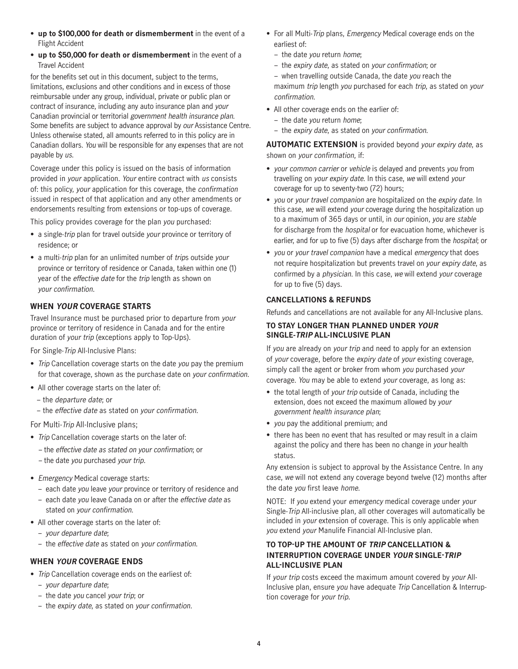- **up to \$100,000 for death or dismemberment** in the event of a Flight Accident
- **up to \$50,000 for death or dismemberment** in the event of a Travel Accident

for the benefits set out in this document, subject to the terms, limitations, exclusions and other conditions and in excess of those reimbursable under any group, individual, private or public plan or contract of insurance, including any auto insurance plan and your Canadian provincial or territorial government health insurance plan. Some benefits are subject to advance approval by our Assistance Centre. Unless otherwise stated, all amounts referred to in this policy are in Canadian dollars. You will be responsible for any expenses that are not payable by us.

Coverage under this policy is issued on the basis of information provided in your application. Your entire contract with us consists of: this policy, your application for this coverage, the confirmation issued in respect of that application and any other amendments or endorsements resulting from extensions or top-ups of coverage.

This policy provides coverage for the plan you purchased:

- a single-trip plan for travel outside your province or territory of residence; or
- a multi-trip plan for an unlimited number of trips outside your province or territory of residence or Canada, taken within one (1) year of the effective date for the trip length as shown on your confirmation.

### **WHEN YOUR COVERAGE STARTS**

Travel Insurance must be purchased prior to departure from your province or territory of residence in Canada and for the entire duration of your trip (exceptions apply to Top-Ups).

For Single-Trip All-Inclusive Plans:

- Trip Cancellation coverage starts on the date you pay the premium for that coverage, shown as the purchase date on your confirmation.
- All other coverage starts on the later of:
	- the departure date; or
	- the effective date as stated on your confirmation.

For Multi-Trip All-Inclusive plans;

- Trip Cancellation coverage starts on the later of:
	- the effective date as stated on your confirmation; or – the date you purchased your trip.
- Emergency Medical coverage starts:
	- each date you leave your province or territory of residence and
	- each date you leave Canada on or after the effective date as stated on your confirmation.
- All other coverage starts on the later of:
	- your departure date;
	- the effective date as stated on your confirmation.

### **WHEN YOUR COVERAGE ENDS**

- Trip Cancellation coverage ends on the earliest of:
	- your departure date;
	- the date you cancel your trip; or
	- the expiry date, as stated on your confirmation.
- For all Multi-*Trip* plans, *Emergency* Medical coverage ends on the earliest of:
	- the date you return home;
	- the expiry date, as stated on your confirmation; or
	- when travelling outside Canada, the date you reach the maximum trip length you purchased for each trip, as stated on your confirmation.
- All other coverage ends on the earlier of:
	- the date you return home;
	- the expiry date, as stated on your confirmation.

**AUTOMATIC EXTENSION** is provided beyond your expiry date, as shown on your confirmation, if:

- your common carrier or vehicle is delayed and prevents you from travelling on your expiry date. In this case, we will extend your coverage for up to seventy-two (72) hours;
- you or your travel companion are hospitalized on the expiry date. In this case, we will extend your coverage during the hospitalization up to a maximum of 365 days or until, in our opinion, you are stable for discharge from the hospital or for evacuation home, whichever is earlier, and for up to five (5) days after discharge from the *hospital*; or
- you or your travel companion have a medical emergency that does not require hospitalization but prevents travel on your expiry date, as confirmed by a physician. In this case, we will extend your coverage for up to five (5) days.

### **CANCELLATIONS & REFUNDS**

Refunds and cancellations are not available for any All-Inclusive plans.

#### **TO STAY LONGER THAN PLANNED UNDER YOUR SINGLE-TRIP ALL-INCLUSIVE PLAN**

If you are already on your trip and need to apply for an extension of your coverage, before the expiry date of your existing coverage, simply call the agent or broker from whom you purchased your coverage. You may be able to extend your coverage, as long as:

- the total length of your trip outside of Canada, including the extension, does not exceed the maximum allowed by your government health insurance plan;
- you pay the additional premium; and
- there has been no event that has resulted or may result in a claim against the policy and there has been no change in your health status.

Any extension is subject to approval by the Assistance Centre. In any case, we will not extend any coverage beyond twelve (12) months after the date you first leave home.

NOTE: If you extend your emergency medical coverage under your Single-Trip All-inclusive plan, all other coverages will automatically be included in your extension of coverage. This is only applicable when you extend your Manulife Financial All-Inclusive plan.

### **TO TOP-UP THE AMOUNT OF TRIP CANCELLATION & INTERRUPTION COVERAGE UNDER YOUR SINGLE-TRIP ALL-INCLUSIVE PLAN**

If your trip costs exceed the maximum amount covered by your All-Inclusive plan, ensure you have adequate Trip Cancellation & Interruption coverage for your trip.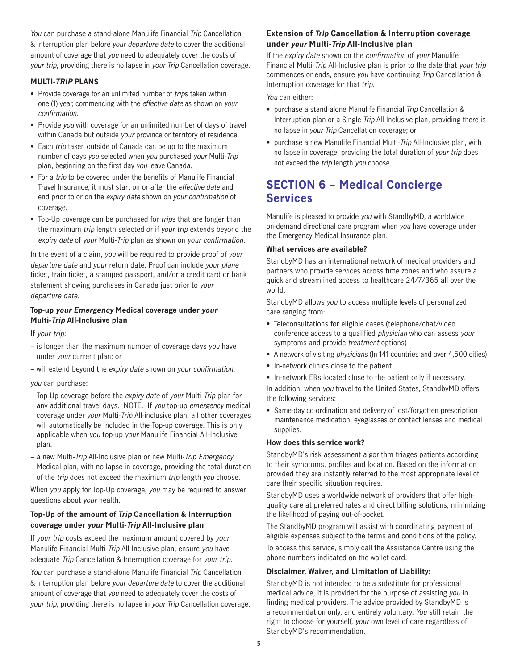You can purchase a stand-alone Manulife Financial Trip Cancellation & Interruption plan before your departure date to cover the additional amount of coverage that you need to adequately cover the costs of your trip, providing there is no lapse in your Trip Cancellation coverage.

#### **MULTI-TRIP PLANS**

- Provide coverage for an unlimited number of trips taken within one (1) year, commencing with the effective date as shown on your confirmation.
- Provide you with coverage for an unlimited number of days of travel within Canada but outside your province or territory of residence.
- Each trip taken outside of Canada can be up to the maximum number of days you selected when you purchased your Multi-Trip plan, beginning on the first day you leave Canada.
- For a trip to be covered under the benefits of Manulife Financial Travel Insurance, it must start on or after the *effective date* and end prior to or on the expiry date shown on your confirmation of coverage.
- Top-Up coverage can be purchased for trips that are longer than the maximum trip length selected or if your trip extends beyond the expiry date of your Multi-Trip plan as shown on your confirmation.

In the event of a claim, you will be required to provide proof of your departure date and your return date. Proof can include your plane ticket, train ticket, a stamped passport, and/or a credit card or bank statement showing purchases in Canada just prior to your departure date.

### **Top-up your Emergency Medical coverage under your Multi-Trip All-Inclusive plan**

If your trip:

- is longer than the maximum number of coverage days you have under your current plan; or
- will extend beyond the expiry date shown on your confirmation,

#### you can purchase:

- Top-Up coverage before the expiry date of your Multi-Trip plan for any additional travel days. NOTE: If you top-up emergency medical coverage under your Multi-Trip All-inclusive plan, all other coverages will automatically be included in the Top-up coverage. This is only applicable when you top-up your Manulife Financial All-Inclusive plan.
- a new Multi-Trip All-Inclusive plan or new Multi-Trip Emergency Medical plan, with no lapse in coverage, providing the total duration of the trip does not exceed the maximum trip length you choose.

When you apply for Top-Up coverage, you may be required to answer questions about your health.

### **Top-Up of the amount of Trip Cancellation & Interruption coverage under your Multi-Trip All-Inclusive plan**

If your trip costs exceed the maximum amount covered by your Manulife Financial Multi-Trip All-Inclusive plan, ensure you have adequate Trip Cancellation & Interruption coverage for your trip.

You can purchase a stand-alone Manulife Financial Trip Cancellation & Interruption plan before your departure date to cover the additional amount of coverage that you need to adequately cover the costs of your trip, providing there is no lapse in your Trip Cancellation coverage.

### **Extension of Trip Cancellation & Interruption coverage under your Multi-Trip All-Inclusive plan**

If the expiry date shown on the confirmation of your Manulife Financial Multi-Trip All-Inclusive plan is prior to the date that your trip commences or ends, ensure you have continuing Trip Cancellation & Interruption coverage for that trip.

You can either:

- purchase a stand-alone Manulife Financial Trip Cancellation & Interruption plan or a Single-Trip All-Inclusive plan, providing there is no lapse in your Trip Cancellation coverage; or
- purchase a new Manulife Financial Multi-Trip All-Inclusive plan, with no lapse in coverage, providing the total duration of your trip does not exceed the trip length you choose.

### **SECTION 6 – Medical Concierge Services**

Manulife is pleased to provide you with StandbyMD, a worldwide on-demand directional care program when you have coverage under the Emergency Medical Insurance plan.

#### **What services are available?**

StandbyMD has an international network of medical providers and partners who provide services across time zones and who assure a quick and streamlined access to healthcare 24/7/365 all over the world.

StandbyMD allows you to access multiple levels of personalized care ranging from:

- Teleconsultations for eligible cases (telephone/chat/video conference access to a qualified physician who can assess your symptoms and provide treatment options)
- A network of visiting *physicians* (In 141 countries and over 4,500 cities)
- In-network clinics close to the patient
- In-network ERs located close to the patient only if necessary.

In addition, when you travel to the United States, StandbyMD offers the following services:

• Same-day co-ordination and delivery of lost/forgotten prescription maintenance medication, eyeglasses or contact lenses and medical supplies.

#### **How does this service work?**

StandbyMD's risk assessment algorithm triages patients according to their symptoms, profiles and location. Based on the information provided they are instantly referred to the most appropriate level of care their specific situation requires.

StandbyMD uses a worldwide network of providers that offer highquality care at preferred rates and direct billing solutions, minimizing the likelihood of paying out-of-pocket.

The StandbyMD program will assist with coordinating payment of eligible expenses subject to the terms and conditions of the policy.

To access this service, simply call the Assistance Centre using the phone numbers indicated on the wallet card.

#### **Disclaimer, Waiver, and Limitation of Liability:**

StandbyMD is not intended to be a substitute for professional medical advice, it is provided for the purpose of assisting you in finding medical providers. The advice provided by StandbyMD is a recommendation only, and entirely voluntary. You still retain the right to choose for yourself, your own level of care regardless of StandbyMD's recommendation.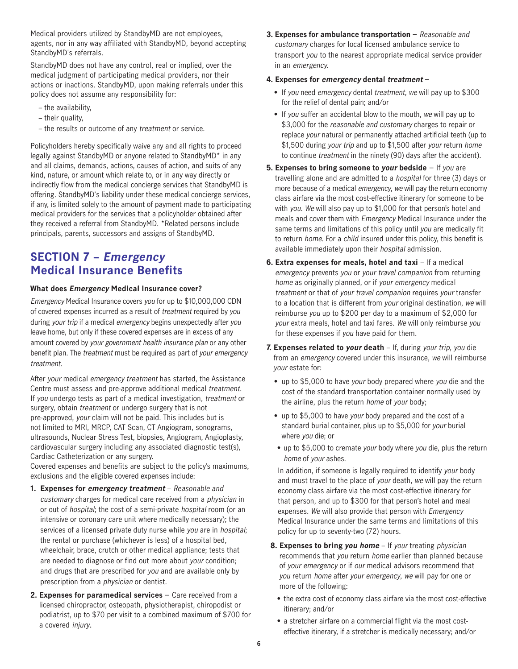Medical providers utilized by StandbyMD are not employees, agents, nor in any way affiliated with StandbyMD, beyond accepting StandbyMD's referrals.

StandbyMD does not have any control, real or implied, over the medical judgment of participating medical providers, nor their actions or inactions. StandbyMD, upon making referrals under this policy does not assume any responsibility for:

- the availability,
- their quality,
- the results or outcome of any treatment or service.

Policyholders hereby specifically waive any and all rights to proceed legally against StandbyMD or anyone related to StandbyMD\* in any and all claims, demands, actions, causes of action, and suits of any kind, nature, or amount which relate to, or in any way directly or indirectly flow from the medical concierge services that StandbyMD is offering. StandbyMD's liability under these medical concierge services, if any, is limited solely to the amount of payment made to participating medical providers for the services that a policyholder obtained after they received a referral from StandbyMD. \*Related persons include principals, parents, successors and assigns of StandbyMD.

### **SECTION 7 – Emergency Medical Insurance Benefits**

### **What does Emergency Medical Insurance cover?**

Emergency Medical Insurance covers you for up to \$10,000,000 CDN of covered expenses incurred as a result of treatment required by you during your trip if a medical emergency begins unexpectedly after you leave home, but only if these covered expenses are in excess of any amount covered by your government health insurance plan or any other benefit plan. The treatment must be required as part of your emergency treatment.

After your medical emergency treatment has started, the Assistance Centre must assess and pre-approve additional medical treatment. If you undergo tests as part of a medical investigation, treatment or surgery, obtain *treatment* or undergo surgery that is not pre-approved, your claim will not be paid. This includes but is not limited to MRI, MRCP, CAT Scan, CT Angiogram, sonograms, ultrasounds, Nuclear Stress Test, biopsies, Angiogram, Angioplasty, cardiovascular surgery including any associated diagnostic test(s), Cardiac Catheterization or any surgery.

Covered expenses and benefits are subject to the policy's maximums, exclusions and the eligible covered expenses include:

- **1. Expenses for emergency treatment** Reasonable and customary charges for medical care received from a physician in or out of hospital; the cost of a semi-private hospital room (or an intensive or coronary care unit where medically necessary); the services of a licensed private duty nurse while you are in hospital; the rental or purchase (whichever is less) of a hospital bed, wheelchair, brace, crutch or other medical appliance; tests that are needed to diagnose or find out more about your condition; and drugs that are prescribed for you and are available only by prescription from a physician or dentist.
- **2. Expenses for paramedical services** Care received from a licensed chiropractor, osteopath, physiotherapist, chiropodist or podiatrist, up to \$70 per visit to a combined maximum of \$700 for a covered injury.

**3. Expenses for ambulance transportation** – Reasonable and customary charges for local licensed ambulance service to transport you to the nearest appropriate medical service provider in an emergency.

#### **4. Expenses for emergency dental treatment** –

- If you need emergency dental treatment, we will pay up to \$300 for the relief of dental pain; and/or
- If you suffer an accidental blow to the mouth, we will pay up to \$3,000 for the reasonable and customary charges to repair or replace your natural or permanently attached artificial teeth (up to \$1,500 during your trip and up to \$1,500 after your return home to continue treatment in the ninety (90) days after the accident).
- **5. Expenses to bring someone to your bedside** If you are travelling alone and are admitted to a hospital for three (3) days or more because of a medical emergency, we will pay the return economy class airfare via the most cost-effective itinerary for someone to be with you. We will also pay up to \$1,000 for that person's hotel and meals and cover them with Emergency Medical Insurance under the same terms and limitations of this policy until you are medically fit to return home. For a child insured under this policy, this benefit is available immediately upon their hospital admission.
- **6. Extra expenses for meals, hotel and taxi** If a medical emergency prevents you or your travel companion from returning home as originally planned, or if your emergency medical treatment or that of your travel companion requires your transfer to a location that is different from your original destination, we will reimburse you up to \$200 per day to a maximum of \$2,000 for your extra meals, hotel and taxi fares. We will only reimburse you for these expenses if you have paid for them.
- **7. Expenses related to your death** If, during your trip, you die from an emergency covered under this insurance, we will reimburse your estate for:
	- up to \$5,000 to have your body prepared where you die and the cost of the standard transportation container normally used by the airline, plus the return home of your body;
	- up to \$5,000 to have your body prepared and the cost of a standard burial container, plus up to \$5,000 for your burial where you die; or
	- up to \$5,000 to cremate your body where you die, plus the return home of your ashes.

In addition, if someone is legally required to identify your body and must travel to the place of your death, we will pay the return economy class airfare via the most cost-effective itinerary for that person, and up to \$300 for that person's hotel and meal expenses. We will also provide that person with Emergency Medical Insurance under the same terms and limitations of this policy for up to seventy-two (72) hours.

- **8. Expenses to bring you home** If your treating physician recommends that you return home earlier than planned because of your emergency or if our medical advisors recommend that you return home after your emergency, we will pay for one or more of the following:
	- the extra cost of economy class airfare via the most cost-effective itinerary; and/or
	- a stretcher airfare on a commercial flight via the most costeffective itinerary, if a stretcher is medically necessary; and/or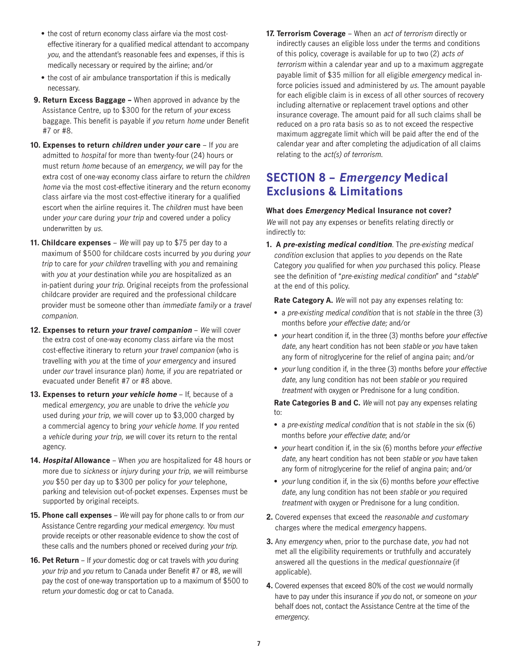- the cost of return economy class airfare via the most costeffective itinerary for a qualified medical attendant to accompany you, and the attendant's reasonable fees and expenses, if this is medically necessary or required by the airline; and/or
- the cost of air ambulance transportation if this is medically necessary.
- **9. Return Excess Baggage –** When approved in advance by the Assistance Centre, up to \$300 for the return of your excess baggage. This benefit is payable if you return home under Benefit #7 or #8.
- **10. Expenses to return children under your care** If you are admitted to hospital for more than twenty-four (24) hours or must return home because of an emergency, we will pay for the extra cost of one-way economy class airfare to return the children home via the most cost-effective itinerary and the return economy class airfare via the most cost-effective itinerary for a qualified escort when the airline requires it. The children must have been under your care during your trip and covered under a policy underwritten by us.
- **11. Childcare expenses** We will pay up to \$75 per day to a maximum of \$500 for childcare costs incurred by you during your trip to care for your children travelling with you and remaining with you at your destination while you are hospitalized as an in-patient during your trip. Original receipts from the professional childcare provider are required and the professional childcare provider must be someone other than immediate family or a travel companion.
- **12. Expenses to return your travel companion** We will cover the extra cost of one-way economy class airfare via the most cost-effective itinerary to return your travel companion (who is travelling with you at the time of your emergency and insured under our travel insurance plan) home, if you are repatriated or evacuated under Benefit #7 or #8 above.
- **13. Expenses to return your vehicle home** If, because of a medical emergency, you are unable to drive the vehicle you used during your trip, we will cover up to \$3,000 charged by a commercial agency to bring your vehicle home. If you rented a vehicle during your trip, we will cover its return to the rental agency.
- **14. Hospital Allowance** When you are hospitalized for 48 hours or more due to sickness or injury during your trip, we will reimburse you \$50 per day up to \$300 per policy for your telephone, parking and television out-of-pocket expenses. Expenses must be supported by original receipts.
- **15. Phone call expenses** We will pay for phone calls to or from our Assistance Centre regarding your medical emergency. You must provide receipts or other reasonable evidence to show the cost of these calls and the numbers phoned or received during your trip.
- **16. Pet Return** If your domestic dog or cat travels with you during your trip and you return to Canada under Benefit #7 or #8, we will pay the cost of one-way transportation up to a maximum of \$500 to return your domestic dog or cat to Canada.

**17. Terrorism Coverage** – When an act of terrorism directly or indirectly causes an eligible loss under the terms and conditions of this policy, coverage is available for up to two (2) acts of terrorism within a calendar year and up to a maximum aggregate payable limit of \$35 million for all eligible emergency medical inforce policies issued and administered by us. The amount payable for each eligible claim is in excess of all other sources of recovery including alternative or replacement travel options and other insurance coverage. The amount paid for all such claims shall be reduced on a pro rata basis so as to not exceed the respective maximum aggregate limit which will be paid after the end of the calendar year and after completing the adjudication of all claims relating to the act(s) of terrorism.

### **SECTION 8 – Emergency Medical Exclusions & Limitations**

### **What does Emergency Medical Insurance not cover?**

We will not pay any expenses or benefits relating directly or indirectly to:

**1. A pre-existing medical condition**. The pre-existing medical condition exclusion that applies to you depends on the Rate Category you qualified for when you purchased this policy. Please see the definition of "pre-existing medical condition" and "stable" at the end of this policy.

**Rate Category A.** We will not pay any expenses relating to:

- a pre-existing medical condition that is not stable in the three (3) months before your effective date; and/or
- your heart condition if, in the three (3) months before your effective date, any heart condition has not been stable or you have taken any form of nitroglycerine for the relief of angina pain; and/or
- your lung condition if, in the three (3) months before your effective date, any lung condition has not been stable or you required treatment with oxygen or Prednisone for a lung condition.

**Rate Categories B and C.** We will not pay any expenses relating to:

- a pre-existing medical condition that is not stable in the six (6) months before your effective date; and/or
- your heart condition if, in the six (6) months before your effective date, any heart condition has not been stable or you have taken any form of nitroglycerine for the relief of angina pain; and/or
- your lung condition if, in the six (6) months before your effective date, any lung condition has not been stable or you required treatment with oxygen or Prednisone for a lung condition.
- **2.** Covered expenses that exceed the reasonable and customary charges where the medical emergency happens.
- **3.** Any emergency when, prior to the purchase date, you had not met all the eligibility requirements or truthfully and accurately answered all the questions in the medical questionnaire (if applicable).
- **4.** Covered expenses that exceed 80% of the cost we would normally have to pay under this insurance if you do not, or someone on your behalf does not, contact the Assistance Centre at the time of the emergency.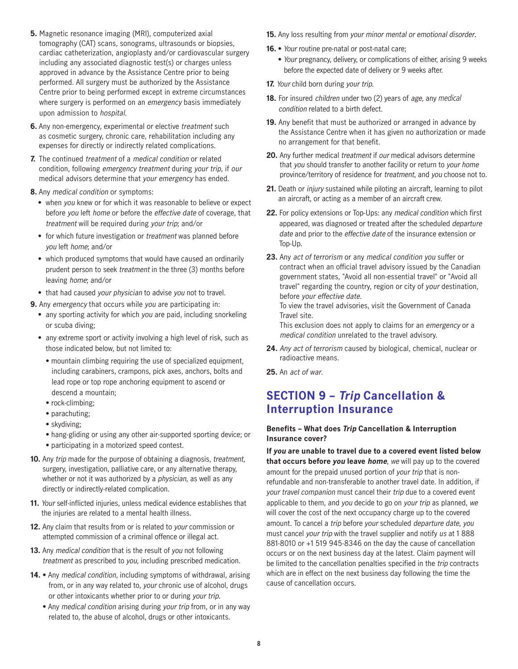- **5.** Magnetic resonance imaging (MRI), computerized axial tomography (CAT) scans, sonograms, ultrasounds or biopsies, cardiac catheterization, angioplasty and/or cardiovascular surgery including any associated diagnostic test(s) or charges unless approved in advance by the Assistance Centre prior to being performed. All surgery must be authorized by the Assistance Centre prior to being performed except in extreme circumstances where surgery is performed on an emergency basis immediately upon admission to hospital.
- **6.** Any non-emergency, experimental or elective *treatment* such as cosmetic surgery, chronic care, rehabilitation including any expenses for directly or indirectly related complications.
- **7.** The continued treatment of a medical condition or related condition, following emergency treatment during your trip, if our medical advisors determine that your emergency has ended.
- **8.** Any medical condition or symptoms:
	- when you knew or for which it was reasonable to believe or expect before you left home or before the effective date of coverage, that treatment will be required during your trip; and/or
	- for which future investigation or treatment was planned before you left home; and/or
	- which produced symptoms that would have caused an ordinarily prudent person to seek treatment in the three (3) months before leaving home; and/or
- that had caused your physician to advise you not to travel.
- **9.** Any emergency that occurs while you are participating in:
	- any sporting activity for which you are paid, including snorkeling or scuba diving;
	- any extreme sport or activity involving a high level of risk, such as those indicated below, but not limited to:
		- mountain climbing requiring the use of specialized equipment, including carabiners, crampons, pick axes, anchors, bolts and lead rope or top rope anchoring equipment to ascend or descend a mountain;
		- rock-climbing;
		- parachuting;
		- skydiving;
		- hang-gliding or using any other air-supported sporting device; or • participating in a motorized speed contest.
- **10.** Any trip made for the purpose of obtaining a diagnosis, treatment, surgery, investigation, palliative care, or any alternative therapy, whether or not it was authorized by a *physician*, as well as any directly or indirectly-related complication.
- **11.** Your self-inflicted injuries, unless medical evidence establishes that the injuries are related to a mental health illness.
- **12.** Any claim that results from or is related to your commission or attempted commission of a criminal offence or illegal act.
- **13.** Any medical condition that is the result of you not following treatment as prescribed to you, including prescribed medication.
- 14. Any medical condition, including symptoms of withdrawal, arising from, or in any way related to, your chronic use of alcohol, drugs or other intoxicants whether prior to or during your trip.
	- Any *medical condition* arising during your trip from, or in any way related to, the abuse of alcohol, drugs or other intoxicants.
- **15.** Any loss resulting from your minor mental or emotional disorder.
- 16. Your routine pre-natal or post-natal care;
	- Your pregnancy, delivery, or complications of either, arising 9 weeks before the expected date of delivery or 9 weeks after.
- 17. Your child born during your trip.
- **18.** For insured children under two (2) years of age, any medical condition related to a birth defect.
- **19.** Any benefit that must be authorized or arranged in advance by the Assistance Centre when it has given no authorization or made no arrangement for that benefit.
- **20.** Any further medical treatment if our medical advisors determine that you should transfer to another facility or return to your home province/territory of residence for treatment, and you choose not to.
- **21.** Death or injury sustained while piloting an aircraft, learning to pilot an aircraft, or acting as a member of an aircraft crew.
- **22.** For policy extensions or Top-Ups: any medical condition which first appeared, was diagnosed or treated after the scheduled departure date and prior to the *effective date* of the insurance extension or Top-Up.
- **23.** Any act of terrorism or any medical condition you suffer or contract when an official travel advisory issued by the Canadian government states, "Avoid all non-essential travel" or "Avoid all travel" regarding the country, region or city of your destination, before your effective date.

To view the travel advisories, visit the Government of Canada Travel site.

This exclusion does not apply to claims for an emergency or a medical condition unrelated to the travel advisory.

- **24.** Any act of terrorism caused by biological, chemical, nuclear or radioactive means.
- **25.** An act of war.

### **SECTION 9 – Trip Cancellation & Interruption Insurance**

### **Benefits – What does Trip Cancellation & Interruption Insurance cover?**

**If you are unable to travel due to a covered event listed below that occurs before you leave home**, we will pay up to the covered amount for the prepaid unused portion of your trip that is nonrefundable and non-transferable to another travel date. In addition, if your travel companion must cancel their trip due to a covered event applicable to them, and you decide to go on your trip as planned, we will cover the cost of the next occupancy charge up to the covered amount. To cancel a trip before your scheduled departure date, you must cancel your trip with the travel supplier and notify us at 1 888 881-8010 or +1 519 945-8346 on the day the cause of cancellation occurs or on the next business day at the latest. Claim payment will be limited to the cancellation penalties specified in the trip contracts which are in effect on the next business day following the time the cause of cancellation occurs.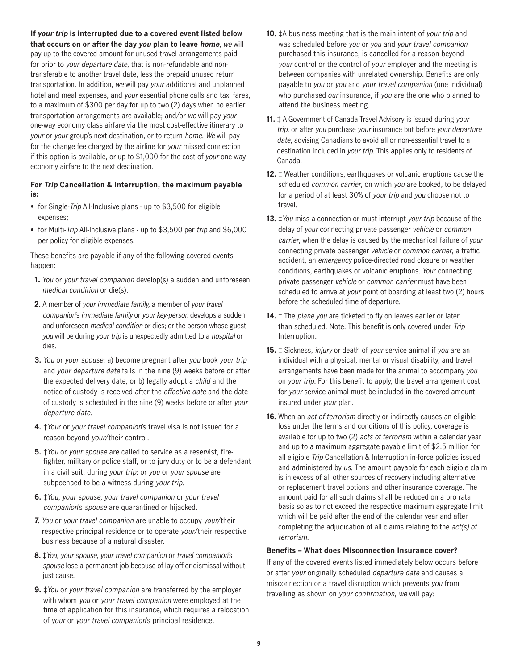**If your trip is interrupted due to a covered event listed below that occurs on or after the day you plan to leave home**, we will pay up to the covered amount for unused travel arrangements paid for prior to your departure date, that is non-refundable and nontransferable to another travel date, less the prepaid unused return transportation. In addition, we will pay your additional and unplanned hotel and meal expenses, and your essential phone calls and taxi fares, to a maximum of \$300 per day for up to two (2) days when no earlier transportation arrangements are available; and/or we will pay your one-way economy class airfare via the most cost-effective itinerary to your or your group's next destination, or to return home. We will pay for the change fee charged by the airline for your missed connection if this option is available, or up to \$1,000 for the cost of your one-way economy airfare to the next destination.

#### **For Trip Cancellation & Interruption, the maximum payable is:**

- for Single-*Trip* All-Inclusive plans up to \$3,500 for eligible expenses;
- for Multi-Trip All-Inclusive plans up to \$3,500 per trip and \$6,000 per policy for eligible expenses.

These benefits are payable if any of the following covered events happen:

- **1.** You or your travel companion develop(s) a sudden and unforeseen medical condition or die(s).
- **2.** A member of your immediate family, a member of your travel companion's immediate family or your key-person develops a sudden and unforeseen medical condition or dies; or the person whose guest you will be during your trip is unexpectedly admitted to a hospital or dies.
- **3.** You or your spouse: a) become pregnant after you book your trip and your departure date falls in the nine (9) weeks before or after the expected delivery date, or b) legally adopt a child and the notice of custody is received after the effective date and the date of custody is scheduled in the nine (9) weeks before or after your departure date.
- **4.** ‡Your or your travel companion's travel visa is not issued for a reason beyond your/their control.
- **5.** ‡You or your spouse are called to service as a reservist, firefighter, military or police staff, or to jury duty or to be a defendant in a civil suit, during your trip; or you or your spouse are subpoenaed to be a witness during your trip.
- **6.** ‡You, your spouse, your travel companion or your travel companion's spouse are quarantined or hijacked.
- **7.** You or your travel companion are unable to occupy your/their respective principal residence or to operate your/their respective business because of a natural disaster.
- **8.** ‡You, your spouse, your travel companion or travel companion's spouse lose a permanent job because of lay-off or dismissal without just cause.
- **9.** ‡You or your travel companion are transferred by the employer with whom you or your travel companion were employed at the time of application for this insurance, which requires a relocation of your or your travel companion's principal residence.
- **10.** ‡A business meeting that is the main intent of your trip and was scheduled before you or you and your travel companion purchased this insurance, is cancelled for a reason beyond your control or the control of your employer and the meeting is between companies with unrelated ownership. Benefits are only payable to you or you and your travel companion (one individual) who purchased our insurance, if you are the one who planned to attend the business meeting.
- **11.** ‡ A Government of Canada Travel Advisory is issued during your trip, or after you purchase your insurance but before your departure date, advising Canadians to avoid all or non-essential travel to a destination included in your trip. This applies only to residents of Canada.
- **12.** ± Weather conditions, earthquakes or volcanic eruptions cause the scheduled common carrier, on which you are booked, to be delayed for a period of at least 30% of your trip and you choose not to travel.
- **13.** ‡You miss a connection or must interrupt your trip because of the delay of your connecting private passenger vehicle or common carrier, when the delay is caused by the mechanical failure of your connecting private passenger vehicle or common carrier, a traffic accident, an emergency police-directed road closure or weather conditions, earthquakes or volcanic eruptions. Your connecting private passenger vehicle or common carrier must have been scheduled to arrive at your point of boarding at least two (2) hours before the scheduled time of departure.
- 14.  $\ddagger$  The plane you are ticketed to fly on leaves earlier or later than scheduled. Note: This benefit is only covered under Trip Interruption.
- **15.** ‡ Sickness, injury or death of your service animal if you are an individual with a physical, mental or visual disability, and travel arrangements have been made for the animal to accompany you on your trip. For this benefit to apply, the travel arrangement cost for your service animal must be included in the covered amount insured under your plan.
- **16.** When an *act of terrorism* directly or indirectly causes an eligible loss under the terms and conditions of this policy, coverage is available for up to two (2) acts of terrorism within a calendar year and up to a maximum aggregate payable limit of \$2.5 million for all eligible Trip Cancellation & Interruption in-force policies issued and administered by us. The amount payable for each eligible claim is in excess of all other sources of recovery including alternative or replacement travel options and other insurance coverage. The amount paid for all such claims shall be reduced on a pro rata basis so as to not exceed the respective maximum aggregate limit which will be paid after the end of the calendar year and after completing the adjudication of all claims relating to the act(s) of terrorism.

#### **Benefits – What does Misconnection Insurance cover?**

If any of the covered events listed immediately below occurs before or after your originally scheduled departure date and causes a misconnection or a travel disruption which prevents you from travelling as shown on your confirmation, we will pay: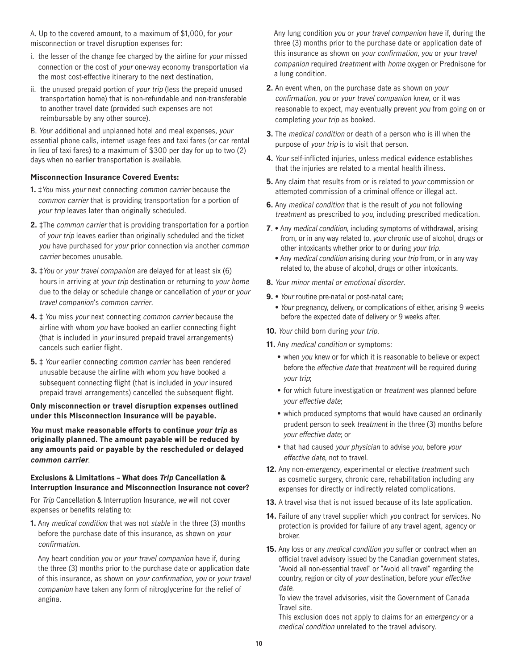A. Up to the covered amount, to a maximum of \$1,000, for your misconnection or travel disruption expenses for:

- i. the lesser of the change fee charged by the airline for your missed connection or the cost of your one-way economy transportation via the most cost-effective itinerary to the next destination,
- ii. the unused prepaid portion of your trip (less the prepaid unused transportation home) that is non-refundable and non-transferable to another travel date (provided such expenses are not reimbursable by any other source).

B. Your additional and unplanned hotel and meal expenses, your essential phone calls, internet usage fees and taxi fares (or car rental in lieu of taxi fares) to a maximum of \$300 per day for up to two (2) days when no earlier transportation is available.

#### **Misconnection Insurance Covered Events:**

- **1.** ‡You miss your next connecting common carrier because the common carrier that is providing transportation for a portion of your trip leaves later than originally scheduled.
- **2.** ‡The common carrier that is providing transportation for a portion of your trip leaves earlier than originally scheduled and the ticket you have purchased for your prior connection via another common carrier becomes unusable.
- **3. ‡You or your travel companion are delayed for at least six (6)** hours in arriving at your trip destination or returning to your home due to the delay or schedule change or cancellation of your or your travel companion's common carrier.
- **4.** ‡ You miss your next connecting common carrier because the airline with whom you have booked an earlier connecting flight (that is included in your insured prepaid travel arrangements) cancels such earlier flight.
- **5.** ‡ Your earlier connecting common carrier has been rendered unusable because the airline with whom you have booked a subsequent connecting flight (that is included in your insured prepaid travel arrangements) cancelled the subsequent flight.

#### **Only misconnection or travel disruption expenses outlined under this Misconnection Insurance will be payable.**

**You must make reasonable efforts to continue your trip as originally planned. The amount payable will be reduced by any amounts paid or payable by the rescheduled or delayed common carrier**.

#### **Exclusions & Limitations – What does Trip Cancellation & Interruption Insurance and Misconnection Insurance not cover?**

For Trip Cancellation & Interruption Insurance, we will not cover expenses or benefits relating to:

**1.** Any medical condition that was not stable in the three (3) months before the purchase date of this insurance, as shown on your confirmation.

Any heart condition you or your travel companion have if, during the three (3) months prior to the purchase date or application date of this insurance, as shown on your confirmation, you or your travel companion have taken any form of nitroglycerine for the relief of angina.

Any lung condition you or your travel companion have if, during the three (3) months prior to the purchase date or application date of this insurance as shown on your confirmation, you or your travel companion required treatment with home oxygen or Prednisone for a lung condition.

- **2.** An event when, on the purchase date as shown on your confirmation, you or your travel companion knew, or it was reasonable to expect, may eventually prevent you from going on or completing your trip as booked.
- **3.** The medical condition or death of a person who is ill when the purpose of your trip is to visit that person.
- **4.** Your self-inflicted injuries, unless medical evidence establishes that the injuries are related to a mental health illness.
- **5.** Any claim that results from or is related to your commission or attempted commission of a criminal offence or illegal act.
- **6.** Any medical condition that is the result of you not following treatment as prescribed to you, including prescribed medication.
- **7**. Any medical condition, including symptoms of withdrawal, arising from, or in any way related to, your chronic use of alcohol, drugs or other intoxicants whether prior to or during your trip.
	- Any medical condition arising during your trip from, or in any way related to, the abuse of alcohol, drugs or other intoxicants.
- **8.** Your minor mental or emotional disorder.
- **9.** Your routine pre-natal or post-natal care;
	- Your pregnancy, delivery, or complications of either, arising 9 weeks before the expected date of delivery or 9 weeks after.
- **10.** Your child born during your trip.
- **11.** Any medical condition or symptoms:
	- when you knew or for which it is reasonable to believe or expect before the effective date that treatment will be required during your trip;
	- for which future investigation or treatment was planned before your effective date;
	- which produced symptoms that would have caused an ordinarily prudent person to seek treatment in the three (3) months before your effective date; or
	- that had caused your physician to advise you, before your effective date, not to travel.
- 12. Any non-emergency, experimental or elective treatment such as cosmetic surgery, chronic care, rehabilitation including any expenses for directly or indirectly related complications.
- **13.** A travel visa that is not issued because of its late application.
- 14. Failure of any travel supplier which you contract for services. No protection is provided for failure of any travel agent, agency or broker.
- **15.** Any loss or any medical condition you suffer or contract when an official travel advisory issued by the Canadian government states, "Avoid all non-essential travel" or "Avoid all travel" regarding the country, region or city of your destination, before your effective date.

To view the travel advisories, visit the Government of Canada Travel site.

This exclusion does not apply to claims for an emergency or a medical condition unrelated to the travel advisory.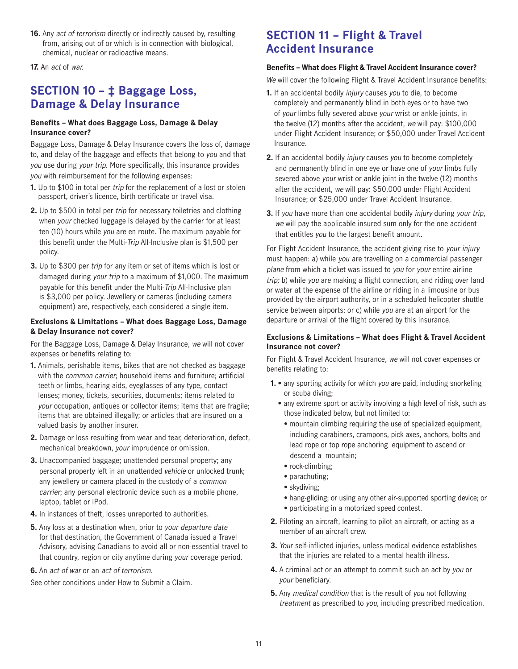**16.** Any *act of terrorism* directly or indirectly caused by, resulting from, arising out of or which is in connection with biological, chemical, nuclear or radioactive means.

**17.** An act of war.

### **SECTION 10 – ‡ Baggage Loss, Damage & Delay Insurance**

### **Benefits – What does Baggage Loss, Damage & Delay Insurance cover?**

Baggage Loss, Damage & Delay Insurance covers the loss of, damage to, and delay of the baggage and effects that belong to you and that you use during your trip. More specifically, this insurance provides you with reimbursement for the following expenses:

- **1.** Up to \$100 in total per trip for the replacement of a lost or stolen passport, driver's licence, birth certificate or travel visa.
- **2.** Up to \$500 in total per trip for necessary toiletries and clothing when your checked luggage is delayed by the carrier for at least ten (10) hours while you are en route. The maximum payable for this benefit under the Multi-Trip All-Inclusive plan is \$1,500 per policy.
- **3.** Up to \$300 per trip for any item or set of items which is lost or damaged during your trip to a maximum of \$1,000. The maximum payable for this benefit under the Multi-Trip All-Inclusive plan is \$3,000 per policy. Jewellery or cameras (including camera equipment) are, respectively, each considered a single item.

### **Exclusions & Limitations – What does Baggage Loss, Damage & Delay Insurance not cover?**

For the Baggage Loss, Damage & Delay Insurance, we will not cover expenses or benefits relating to:

- **1.** Animals, perishable items, bikes that are not checked as baggage with the common carrier; household items and furniture; artificial teeth or limbs, hearing aids, eyeglasses of any type, contact lenses; money, tickets, securities, documents; items related to your occupation, antiques or collector items; items that are fragile; items that are obtained illegally; or articles that are insured on a valued basis by another insurer.
- **2.** Damage or loss resulting from wear and tear, deterioration, defect, mechanical breakdown, your imprudence or omission.
- **3.** Unaccompanied baggage; unattended personal property; any personal property left in an unattended vehicle or unlocked trunk; any jewellery or camera placed in the custody of a common carrier; any personal electronic device such as a mobile phone, laptop, tablet or iPod.
- **4.** In instances of theft, losses unreported to authorities.
- **5.** Any loss at a destination when, prior to your departure date for that destination, the Government of Canada issued a Travel Advisory, advising Canadians to avoid all or non-essential travel to that country, region or city anytime during your coverage period.
- **6.** An act of war or an act of terrorism.

See other conditions under How to Submit a Claim.

### **SECTION 11 – Flight & Travel Accident Insurance**

### **Benefits – What does Flight & Travel Accident Insurance cover?**

We will cover the following Flight & Travel Accident Insurance benefits:

- **1.** If an accidental bodily injury causes you to die, to become completely and permanently blind in both eyes or to have two of your limbs fully severed above your wrist or ankle joints, in the twelve (12) months after the accident, we will pay: \$100,000 under Flight Accident Insurance; or \$50,000 under Travel Accident Insurance.
- **2.** If an accidental bodily injury causes you to become completely and permanently blind in one eye or have one of your limbs fully severed above *your* wrist or ankle joint in the twelve (12) months after the accident, we will pay: \$50,000 under Flight Accident Insurance; or \$25,000 under Travel Accident Insurance.
- **3.** If you have more than one accidental bodily injury during your trip, we will pay the applicable insured sum only for the one accident that entitles you to the largest benefit amount.

For Flight Accident Insurance, the accident giving rise to your injury must happen: a) while you are travelling on a commercial passenger plane from which a ticket was issued to you for your entire airline trip; b) while you are making a flight connection, and riding over land or water at the expense of the airline or riding in a limousine or bus provided by the airport authority, or in a scheduled helicopter shuttle service between airports; or c) while you are at an airport for the departure or arrival of the flight covered by this insurance.

### **Exclusions & Limitations – What does Flight & Travel Accident Insurance not cover?**

For Flight & Travel Accident Insurance, we will not cover expenses or benefits relating to:

- **1.** any sporting activity for which you are paid, including snorkeling or scuba diving;
	- any extreme sport or activity involving a high level of risk, such as those indicated below, but not limited to:
		- mountain climbing requiring the use of specialized equipment, including carabiners, crampons, pick axes, anchors, bolts and lead rope or top rope anchoring equipment to ascend or descend a mountain;
		- rock-climbing:
		- parachuting;
		- skydiving;
		- hang-gliding; or using any other air-supported sporting device; or
		- participating in a motorized speed contest.
- **2.** Piloting an aircraft, learning to pilot an aircraft, or acting as a member of an aircraft crew.
- **3.** Your self-inflicted injuries, unless medical evidence establishes that the injuries are related to a mental health illness.
- **4.** A criminal act or an attempt to commit such an act by you or your beneficiary.
- **5.** Any medical condition that is the result of you not following treatment as prescribed to you, including prescribed medication.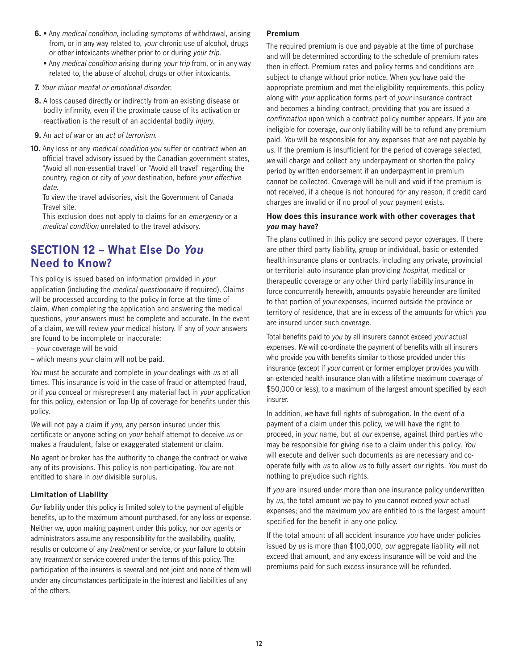- **6.** Any medical condition, including symptoms of withdrawal, arising from, or in any way related to, your chronic use of alcohol, drugs or other intoxicants whether prior to or during your trip.
	- Any medical condition arising during your trip from, or in any way related to, the abuse of alcohol, drugs or other intoxicants.
- **7.** Your minor mental or emotional disorder.
- **8.** A loss caused directly or indirectly from an existing disease or bodily infirmity, even if the proximate cause of its activation or reactivation is the result of an accidental bodily injury.
- **9.** An act of war or an act of terrorism.
- **10.** Any loss or any medical condition you suffer or contract when an official travel advisory issued by the Canadian government states, "Avoid all non-essential travel" or "Avoid all travel" regarding the country, region or city of your destination, before your effective date.

To view the travel advisories, visit the Government of Canada Travel site.

This exclusion does not apply to claims for an emergency or a medical condition unrelated to the travel advisory.

### **SECTION 12 – What Else Do You Need to Know?**

This policy is issued based on information provided in your application (including the medical questionnaire if required). Claims will be processed according to the policy in force at the time of claim. When completing the application and answering the medical questions, your answers must be complete and accurate. In the event of a claim, we will review your medical history. If any of your answers are found to be incomplete or inaccurate:

- your coverage will be void
- which means your claim will not be paid.

You must be accurate and complete in your dealings with us at all times. This insurance is void in the case of fraud or attempted fraud, or if you conceal or misrepresent any material fact in your application for this policy, extension or Top-Up of coverage for benefits under this policy.

We will not pay a claim if you, any person insured under this certificate or anyone acting on your behalf attempt to deceive us or makes a fraudulent, false or exaggerated statement or claim.

No agent or broker has the authority to change the contract or waive any of its provisions. This policy is non-participating. You are not entitled to share in our divisible surplus.

### **Limitation of Liability**

Our liability under this policy is limited solely to the payment of eligible benefits, up to the maximum amount purchased, for any loss or expense. Neither we, upon making payment under this policy, nor our agents or administrators assume any responsibility for the availability, quality, results or outcome of any treatment or service, or your failure to obtain any treatment or service covered under the terms of this policy. The participation of the insurers is several and not joint and none of them will under any circumstances participate in the interest and liabilities of any of the others.

### **Premium**

The required premium is due and payable at the time of purchase and will be determined according to the schedule of premium rates then in effect. Premium rates and policy terms and conditions are subject to change without prior notice. When you have paid the appropriate premium and met the eligibility requirements, this policy along with your application forms part of your insurance contract and becomes a binding contract, providing that you are issued a confirmation upon which a contract policy number appears. If you are ineligible for coverage, our only liability will be to refund any premium paid. You will be responsible for any expenses that are not payable by us. If the premium is insufficient for the period of coverage selected, we will charge and collect any underpayment or shorten the policy period by written endorsement if an underpayment in premium cannot be collected. Coverage will be null and void if the premium is not received, if a cheque is not honoured for any reason, if credit card charges are invalid or if no proof of your payment exists.

### **How does this insurance work with other coverages that you may have?**

The plans outlined in this policy are second payor coverages. If there are other third party liability, group or individual, basic or extended health insurance plans or contracts, including any private, provincial or territorial auto insurance plan providing hospital, medical or therapeutic coverage or any other third party liability insurance in force concurrently herewith, amounts payable hereunder are limited to that portion of your expenses, incurred outside the province or territory of residence, that are in excess of the amounts for which you are insured under such coverage.

Total benefits paid to you by all insurers cannot exceed your actual expenses. We will co-ordinate the payment of benefits with all insurers who provide you with benefits similar to those provided under this insurance (except if your current or former employer provides you with an extended health insurance plan with a lifetime maximum coverage of \$50,000 or less), to a maximum of the largest amount specified by each insurer.

In addition, we have full rights of subrogation. In the event of a payment of a claim under this policy, we will have the right to proceed, in your name, but at our expense, against third parties who may be responsible for giving rise to a claim under this policy. You will execute and deliver such documents as are necessary and cooperate fully with us to allow us to fully assert our rights. You must do nothing to prejudice such rights.

If you are insured under more than one insurance policy underwritten by us, the total amount we pay to you cannot exceed your actual expenses; and the maximum you are entitled to is the largest amount specified for the benefit in any one policy.

If the total amount of all accident insurance you have under policies issued by us is more than \$100,000, our aggregate liability will not exceed that amount, and any excess insurance will be void and the premiums paid for such excess insurance will be refunded.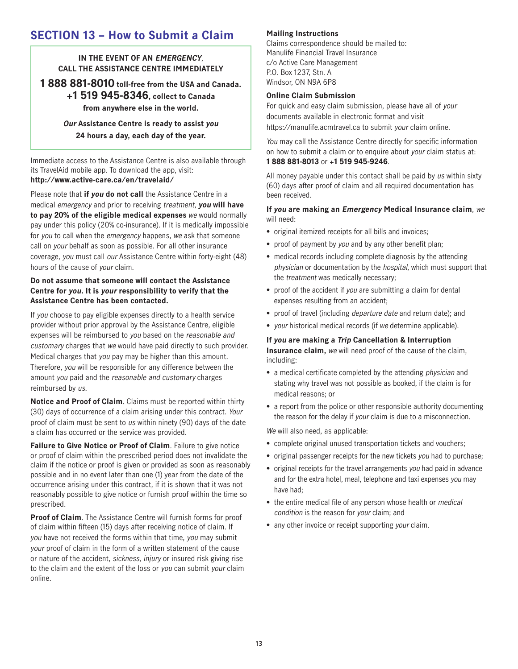### **SECTION 13 – How to Submit a Claim**

### **IN THE EVENT OF AN** *EMERGENCY*. **CALL THE ASSISTANCE CENTRE IMMEDIATELY**

**1 888 881-8010 toll-free from the USA and Canada. +1 519 945-8346, collect to Canada from anywhere else in the world.**

> **Our Assistance Centre is ready to assist you 24 hours a day, each day of the year.**

Immediate access to the Assistance Centre is also available through its TravelAid mobile app. To download the app, visit: **http://www.active-care.ca/en/travelaid/**

Please note that **if you do not call** the Assistance Centre in a medical emergency and prior to receiving treatment, **you will have to pay 20% of the eligible medical expenses** we would normally pay under this policy (20% co-insurance). If it is medically impossible for you to call when the emergency happens, we ask that someone call on your behalf as soon as possible. For all other insurance coverage, you must call our Assistance Centre within forty-eight (48) hours of the cause of your claim.

### **Do not assume that someone will contact the Assistance Centre for you. It is your responsibility to verify that the Assistance Centre has been contacted.**

If you choose to pay eligible expenses directly to a health service provider without prior approval by the Assistance Centre, eligible expenses will be reimbursed to you based on the reasonable and customary charges that we would have paid directly to such provider. Medical charges that you pay may be higher than this amount. Therefore, you will be responsible for any difference between the amount you paid and the reasonable and customary charges reimbursed by us.

**Notice and Proof of Claim**. Claims must be reported within thirty (30) days of occurrence of a claim arising under this contract. Your proof of claim must be sent to us within ninety (90) days of the date a claim has occurred or the service was provided.

**Failure to Give Notice or Proof of Claim**. Failure to give notice or proof of claim within the prescribed period does not invalidate the claim if the notice or proof is given or provided as soon as reasonably possible and in no event later than one (1) year from the date of the occurrence arising under this contract, if it is shown that it was not reasonably possible to give notice or furnish proof within the time so prescribed.

**Proof of Claim.** The Assistance Centre will furnish forms for proof of claim within fifteen (15) days after receiving notice of claim. If you have not received the forms within that time, you may submit your proof of claim in the form of a written statement of the cause or nature of the accident, sickness, injury or insured risk giving rise to the claim and the extent of the loss or you can submit your claim online.

### **Mailing Instructions**

Claims correspondence should be mailed to: Manulife Financial Travel Insurance c/o Active Care Management P.O. Box 1237, Stn. A Windsor, ON N9A 6P8

#### **Online Claim Submission**

For quick and easy claim submission, please have all of your documents available in electronic format and visit https://manulife.acmtravel.ca to submit your claim online.

You may call the Assistance Centre directly for specific information on how to submit a claim or to enquire about your claim status at: **1 888 881-8013** or **+1 519 945-9246**.

All money payable under this contact shall be paid by us within sixty (60) days after proof of claim and all required documentation has been received.

#### **If you are making an Emergency Medical Insurance claim**, we will need:

- original itemized receipts for all bills and invoices;
- proof of payment by you and by any other benefit plan;
- medical records including complete diagnosis by the attending physician or documentation by the hospital, which must support that the *treatment* was medically necessary;
- proof of the accident if you are submitting a claim for dental expenses resulting from an accident;
- proof of travel (including departure date and return date); and
- your historical medical records (if we determine applicable).

#### **If you are making a Trip Cancellation & Interruption Insurance claim,** we will need proof of the cause of the claim, including:

- a medical certificate completed by the attending physician and stating why travel was not possible as booked, if the claim is for medical reasons; or
- a report from the police or other responsible authority documenting the reason for the delay if your claim is due to a misconnection.

We will also need, as applicable:

- complete original unused transportation tickets and vouchers;
- original passenger receipts for the new tickets you had to purchase;
- original receipts for the travel arrangements you had paid in advance and for the extra hotel, meal, telephone and taxi expenses you may have had;
- the entire medical file of any person whose health or *medical* condition is the reason for your claim; and
- any other invoice or receipt supporting your claim.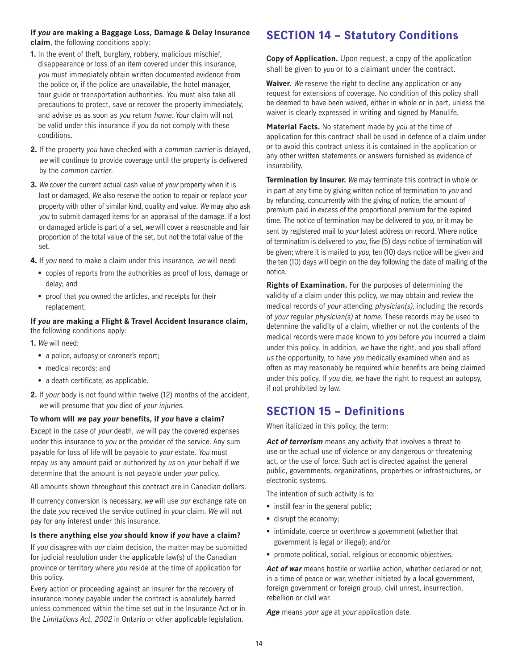### **If you are making a Baggage Loss, Damage & Delay Insurance claim**, the following conditions apply:

- **1.** In the event of theft, burglary, robbery, malicious mischief, disappearance or loss of an item covered under this insurance, you must immediately obtain written documented evidence from the police or, if the police are unavailable, the hotel manager, tour guide or transportation authorities. You must also take all precautions to protect, save or recover the property immediately, and advise us as soon as you return home. Your claim will not be valid under this insurance if you do not comply with these conditions.
- **2.** If the property you have checked with a common carrier is delayed, we will continue to provide coverage until the property is delivered by the common carrier.
- **3.** We cover the current actual cash value of your property when it is lost or damaged. We also reserve the option to repair or replace your property with other of similar kind, quality and value. We may also ask you to submit damaged items for an appraisal of the damage. If a lost or damaged article is part of a set, we will cover a reasonable and fair proportion of the total value of the set, but not the total value of the set.
- **4.** If you need to make a claim under this insurance, we will need:
	- copies of reports from the authorities as proof of loss, damage or delay; and
	- proof that you owned the articles, and receipts for their replacement.

#### **If you are making a Flight & Travel Accident Insurance claim,**  the following conditions apply:

- **1.** We will need:
	- a police, autopsy or coroner's report;
	- medical records; and
	- a death certificate, as applicable.
- **2.** If your body is not found within twelve (12) months of the accident, we will presume that you died of your injuries.

#### **To whom will we pay your benefits, if you have a claim?**

Except in the case of your death, we will pay the covered expenses under this insurance to you or the provider of the service. Any sum payable for loss of life will be payable to your estate. You must repay us any amount paid or authorized by us on your behalf if we determine that the amount is not payable under your policy.

All amounts shown throughout this contract are in Canadian dollars.

If currency conversion is necessary, we will use our exchange rate on the date you received the service outlined in your claim. We will not pay for any interest under this insurance.

#### **Is there anything else you should know if you have a claim?**

If you disagree with our claim decision, the matter may be submitted for judicial resolution under the applicable law(s) of the Canadian province or territory where you reside at the time of application for this policy.

Every action or proceeding against an insurer for the recovery of insurance money payable under the contract is absolutely barred unless commenced within the time set out in the Insurance Act or in the Limitations Act, 2002 in Ontario or other applicable legislation.

### **SECTION 14 – Statutory Conditions**

**Copy of Application.** Upon request, a copy of the application shall be given to you or to a claimant under the contract.

**Waiver.** We reserve the right to decline any application or any request for extensions of coverage. No condition of this policy shall be deemed to have been waived, either in whole or in part, unless the waiver is clearly expressed in writing and signed by Manulife.

**Material Facts.** No statement made by you at the time of application for this contract shall be used in defence of a claim under or to avoid this contract unless it is contained in the application or any other written statements or answers furnished as evidence of insurability.

**Termination by Insurer.** We may terminate this contract in whole or in part at any time by giving written notice of termination to you and by refunding, concurrently with the giving of notice, the amount of premium paid in excess of the proportional premium for the expired time. The notice of termination may be delivered to you, or it may be sent by registered mail to your latest address on record. Where notice of termination is delivered to you, five (5) days notice of termination will be given; where it is mailed to you, ten (10) days notice will be given and the ten (10) days will begin on the day following the date of mailing of the notice.

**Rights of Examination.** For the purposes of determining the validity of a claim under this policy, we may obtain and review the medical records of your attending physician(s), including the records of your regular physician(s) at home. These records may be used to determine the validity of a claim, whether or not the contents of the medical records were made known to you before you incurred a claim under this policy. In addition, we have the right, and you shall afford us the opportunity, to have you medically examined when and as often as may reasonably be required while benefits are being claimed under this policy. If you die, we have the right to request an autopsy, if not prohibited by law.

### **SECTION 15 – Definitions**

When italicized in this policy, the term:

Act of terrorism means any activity that involves a threat to use or the actual use of violence or any dangerous or threatening act, or the use of force. Such act is directed against the general public, governments, organizations, properties or infrastructures, or electronic systems.

The intention of such activity is to:

- instill fear in the general public;
- disrupt the economy;
- intimidate, coerce or overthrow a government (whether that government is legal or illegal); and/or
- promote political, social, religious or economic objectives.

Act of war means hostile or warlike action, whether declared or not, in a time of peace or war, whether initiated by a local government, foreign government or foreign group, civil unrest, insurrection, rebellion or civil war.

**Age** means your age at your application date.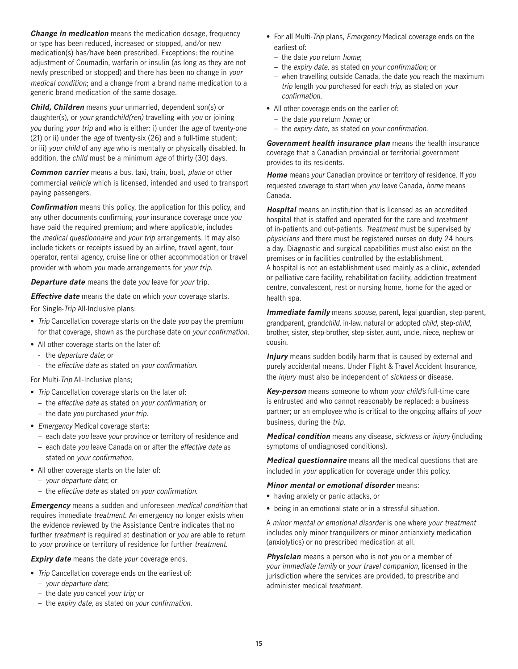**Change in medication** means the medication dosage, frequency or type has been reduced, increased or stopped, and/or new medication(s) has/have been prescribed. Exceptions: the routine adjustment of Coumadin, warfarin or insulin (as long as they are not newly prescribed or stopped) and there has been no change in your medical condition; and a change from a brand name medication to a generic brand medication of the same dosage.

**Child, Children** means your unmarried, dependent son(s) or daughter(s), or your grandchild(ren) travelling with you or joining you during your trip and who is either: i) under the age of twenty-one (21) or ii) under the age of twenty-six (26) and a full-time student; or iii) your child of any age who is mentally or physically disabled. In addition, the child must be a minimum age of thirty (30) days.

**Common carrier** means a bus, taxi, train, boat, plane or other commercial vehicle which is licensed, intended and used to transport paying passengers.

**Confirmation** means this policy, the application for this policy, and any other documents confirming your insurance coverage once you have paid the required premium; and where applicable, includes the medical questionnaire and your trip arrangements. It may also include tickets or receipts issued by an airline, travel agent, tour operator, rental agency, cruise line or other accommodation or travel provider with whom you made arrangements for your trip.

**Departure date** means the date you leave for your trip.

**Effective date** means the date on which your coverage starts.

For Single-Trip All-Inclusive plans:

- Trip Cancellation coverage starts on the date you pay the premium for that coverage, shown as the purchase date on your confirmation.
- All other coverage starts on the later of:
	- the *departure date*; or
	- the effective date as stated on your confirmation.

For Multi-Trip All-Inclusive plans;

- Trip Cancellation coverage starts on the later of:
- the effective date as stated on your confirmation; or
- the date you purchased your trip.
- Emergency Medical coverage starts:
	- each date you leave your province or territory of residence and
	- each date you leave Canada on or after the effective date as stated on your confirmation.
- All other coverage starts on the later of:
	- your departure date; or
	- the effective date as stated on your confirmation.

**Emergency** means a sudden and unforeseen medical condition that requires immediate treatment. An emergency no longer exists when the evidence reviewed by the Assistance Centre indicates that no further *treatment* is required at destination or you are able to return to your province or territory of residence for further treatment.

**Expiry date** means the date your coverage ends.

- Trip Cancellation coverage ends on the earliest of:
	- your departure date;
	- the date you cancel your trip; or
	- the expiry date, as stated on your confirmation.
- For all Multi-Trip plans, Emergency Medical coverage ends on the earliest of:
	- the date you return home;
	- the expiry date, as stated on your confirmation; or
	- when travelling outside Canada, the date you reach the maximum trip length you purchased for each trip, as stated on your confirmation.
- All other coverage ends on the earlier of:
	- the date you return home; or
	- the expiry date, as stated on your confirmation.

**Government health insurance plan** means the health insurance coverage that a Canadian provincial or territorial government provides to its residents.

**Home** means your Canadian province or territory of residence. If you requested coverage to start when you leave Canada, home means Canada.

**Hospital** means an institution that is licensed as an accredited hospital that is staffed and operated for the care and treatment of in-patients and out-patients. Treatment must be supervised by physicians and there must be registered nurses on duty 24 hours a day. Diagnostic and surgical capabilities must also exist on the premises or in facilities controlled by the establishment. A hospital is not an establishment used mainly as a clinic, extended or palliative care facility, rehabilitation facility, addiction treatment centre, convalescent, rest or nursing home, home for the aged or health spa.

**Immediate family** means spouse, parent, legal guardian, step-parent, grandparent, grandchild, in-law, natural or adopted child, step-child, brother, sister, step-brother, step-sister, aunt, uncle, niece, nephew or cousin.

**Injury** means sudden bodily harm that is caused by external and purely accidental means. Under Flight & Travel Accident Insurance, the injury must also be independent of sickness or disease.

**Key-person** means someone to whom your child's full-time care is entrusted and who cannot reasonably be replaced; a business partner; or an employee who is critical to the ongoing affairs of your business, during the trip.

**Medical condition** means any disease, sickness or injury (including symptoms of undiagnosed conditions).

**Medical questionnaire** means all the medical questions that are included in your application for coverage under this policy.

#### **Minor mental or emotional disorder** means:

- having anxiety or panic attacks, or
- being in an emotional state or in a stressful situation.

A minor mental or emotional disorder is one where your treatment includes only minor tranquilizers or minor antianxiety medication (anxiolytics) or no prescribed medication at all.

**Physician** means a person who is not you or a member of your immediate family or your travel companion, licensed in the jurisdiction where the services are provided, to prescribe and administer medical treatment.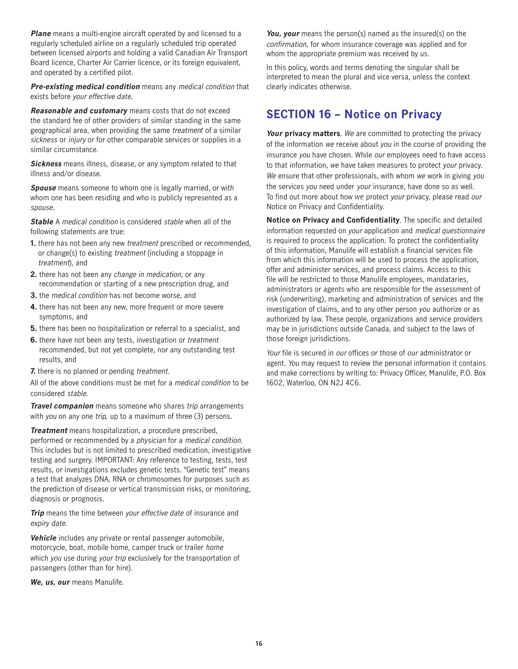**Plane** means a multi-engine aircraft operated by and licensed to a regularly scheduled airline on a regularly scheduled trip operated between licensed airports and holding a valid Canadian Air Transport Board licence, Charter Air Carrier licence, or its foreign equivalent, and operated by a certified pilot.

**Pre-existing medical condition** means any medical condition that exists before your effective date.

**Reasonable and customary** means costs that do not exceed the standard fee of other providers of similar standing in the same geographical area, when providing the same treatment of a similar sickness or injury or for other comparable services or supplies in a similar circumstance.

**Sickness** means illness, disease, or any symptom related to that illness and/or disease.

**Spouse** means someone to whom one is legally married, or with whom one has been residing and who is publicly represented as a spouse.

**Stable** A medical condition is considered stable when all of the following statements are true:

- **1.** there has not been any new treatment prescribed or recommended, or change(s) to existing treatment (including a stoppage in treatment), and
- **2.** there has not been any change in medication, or any recommendation or starting of a new prescription drug, and
- **3.** the medical condition has not become worse, and
- **4.** there has not been any new, more frequent or more severe symptoms, and
- **5.** there has been no hospitalization or referral to a specialist, and
- **6.** there have not been any tests, investigation or *treatment* recommended, but not yet complete, nor any outstanding test results, and
- **7.** there is no planned or pending treatment.

All of the above conditions must be met for a medical condition to be considered stable.

**Travel companion** means someone who shares trip arrangements with you on any one trip, up to a maximum of three (3) persons.

**Treatment** means hospitalization, a procedure prescribed, performed or recommended by a physician for a medical condition. This includes but is not limited to prescribed medication, investigative testing and surgery. IMPORTANT: Any reference to testing, tests, test results, or investigations excludes genetic tests. "Genetic test" means a test that analyzes DNA, RNA or chromosomes for purposes such as the prediction of disease or vertical transmission risks, or monitoring, diagnosis or prognosis.

**Trip** means the time between your effective date of insurance and expiry date.

**Vehicle** includes any private or rental passenger automobile, motorcycle, boat, mobile home, camper truck or trailer home which you use during your trip exclusively for the transportation of passengers (other than for hire).

**We, us, our** means Manulife.

**You, your** means the person(s) named as the insured(s) on the confirmation, for whom insurance coverage was applied and for whom the appropriate premium was received by us.

In this policy, words and terms denoting the singular shall be interpreted to mean the plural and vice versa, unless the context clearly indicates otherwise.

### **SECTION 16 – Notice on Privacy**

**Your privacy matters**. We are committed to protecting the privacy of the information we receive about you in the course of providing the insurance you have chosen. While our employees need to have access to that information, we have taken measures to protect your privacy. We ensure that other professionals, with whom we work in giving you the services you need under your insurance, have done so as well. To find out more about how we protect your privacy, please read our Notice on Privacy and Confidentiality.

**Notice on Privacy and Confidentiality**. The specific and detailed information requested on your application and medical questionnaire is required to process the application. To protect the confidentiality of this information, Manulife will establish a financial services file from which this information will be used to process the application, offer and administer services, and process claims. Access to this file will be restricted to those Manulife employees, mandataries, administrators or agents who are responsible for the assessment of risk (underwriting), marketing and administration of services and the investigation of claims, and to any other person you authorize or as authorized by law. These people, organizations and service providers may be in jurisdictions outside Canada, and subject to the laws of those foreign jurisdictions.

Your file is secured in our offices or those of our administrator or agent. You may request to review the personal information it contains and make corrections by writing to: Privacy Officer, Manulife, P.O. Box 1602, Waterloo, ON N2J 4C6.